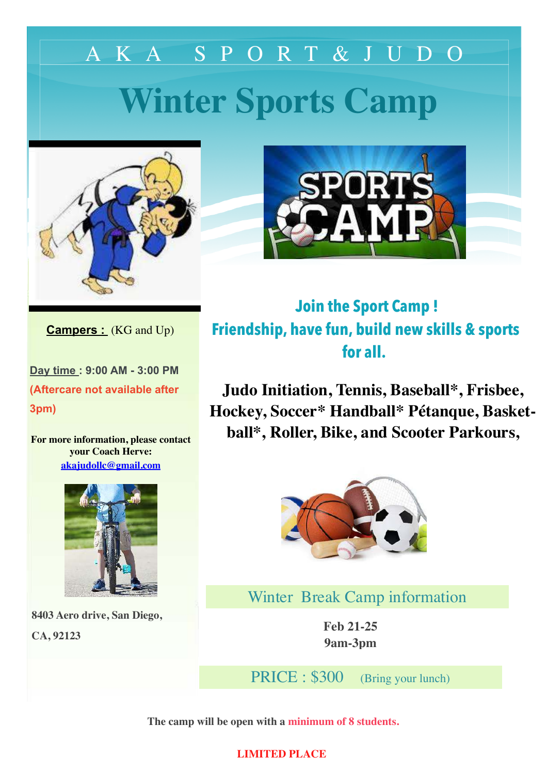# **Winter Sports Camp**  AKA SPORT&JUDO





**Campers :** (KG and Up)

**Day time : 9:00 AM - 3:00 PM (Aftercare not available after 3pm)**

**For more information, please contact your Coach Herve: [akajudollc@gmail.com](mailto:akajudollc@gmail.com)**



 **8403 Aero drive, San Diego, CA, 92123**

**Join the Sport Camp ! Friendship, have fun, build new skills & sports for all.**

**Judo Initiation, Tennis, Baseball\*, Frisbee, Hockey, Soccer\* Handball\* Pétanque, Basketball\*, Roller, Bike, and Scooter Parkours,** 



Winter Break Camp information

**Feb 21-25 9am-3pm**

PRICE : \$300 (Bring your lunch)

**The camp will be open with a minimum of 8 students.**

## **LIMITED PLACE**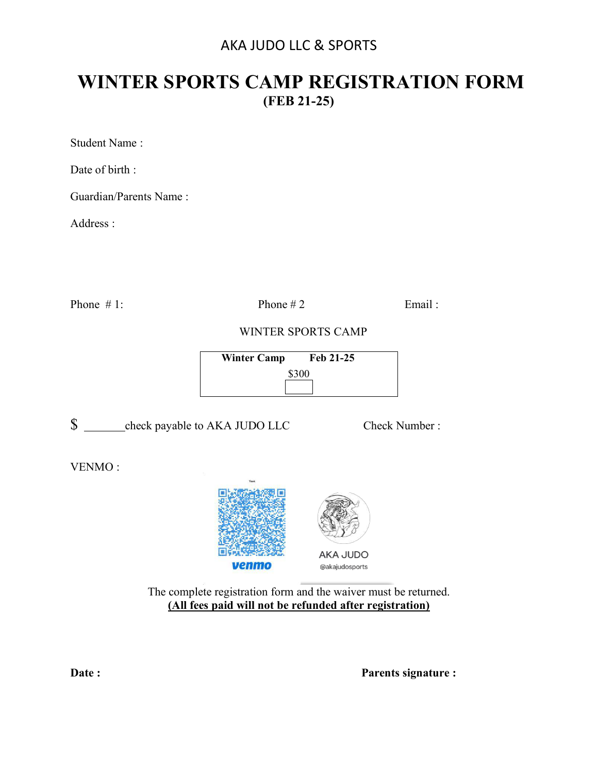## AKA JUDO LLC & SPORTS

## **WINTER SPORTS CAMP REGISTRATION FORM (FEB 21-25)**

Student Name :

Date of birth :

Guardian/Parents Name :

Address :

Phone  $\# 1$ : Phone  $\# 2$  Email:

WINTER SPORTS CAMP

| <b>Winter Camp</b> | Feb 21-25 |
|--------------------|-----------|
| \$300              |           |
|                    |           |

\$ check payable to AKA JUDO LLC Check Number :

VENMO :



The complete registration form and the waiver must be returned. **(All fees paid will not be refunded after registration)** 

**Date :** Parents signature :